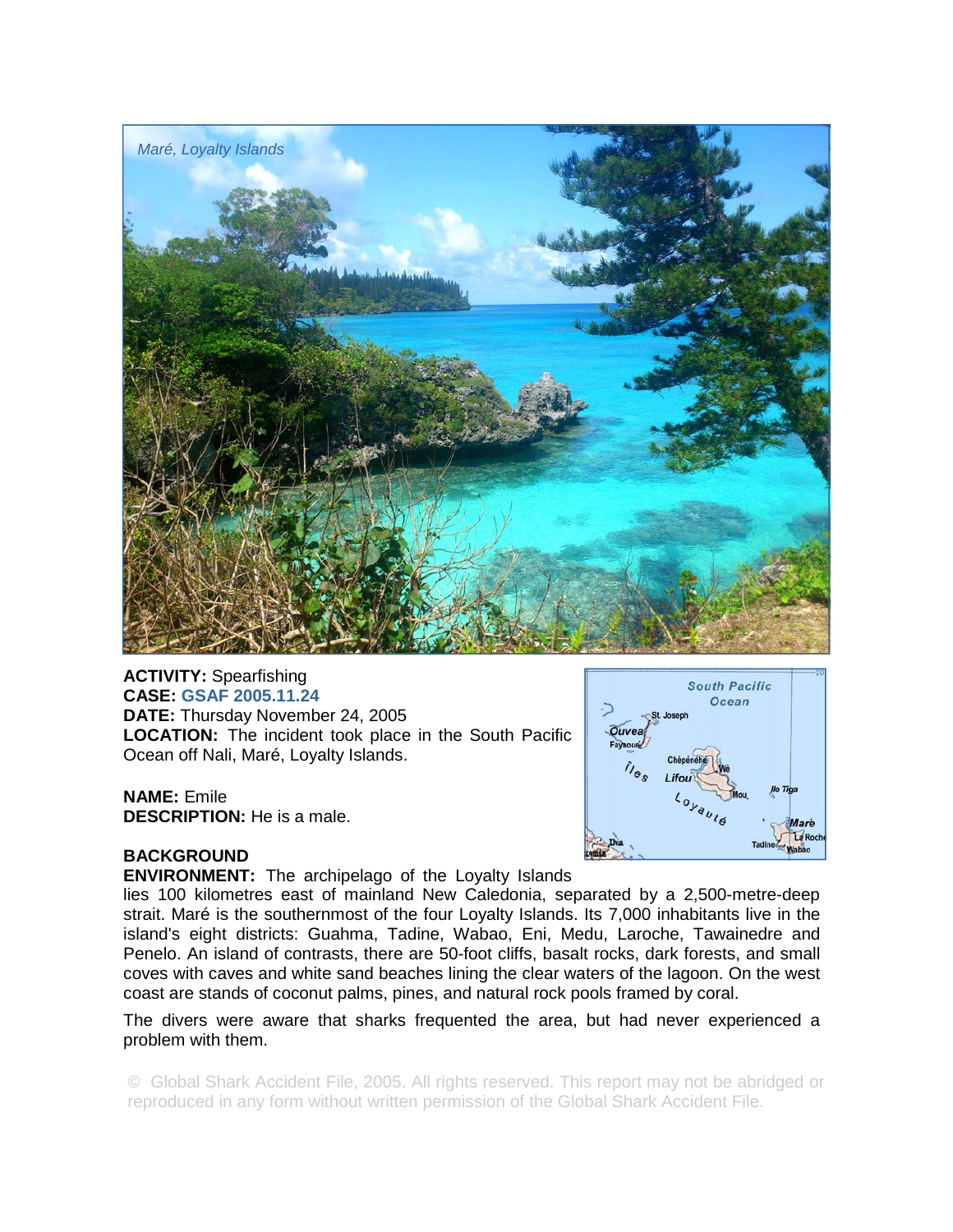

**ACTIVITY:** Spearfishing **CASE: GSAF 2005.11.24 DATE:** Thursday November 24, 2005 **LOCATION:** The incident took place in the South Pacific Ocean off Nali, Maré, Loyalty Islands.

**NAME:** Emile **DESCRIPTION:** He is a male.



## **BACKGROUND**

**ENVIRONMENT:** The archipelago of the Loyalty Islands

lies 100 kilometres east of mainland New Caledonia, separated by a 2,500-metre-deep strait. Maré is the southernmost of the four Loyalty Islands. Its 7,000 inhabitants live in the island's eight districts: Guahma, Tadine, Wabao, Eni, Medu, Laroche, Tawainedre and Penelo. An island of contrasts, there are 50-foot cliffs, basalt rocks, dark forests, and small coves with caves and white sand beaches lining the clear waters of the lagoon. On the west coast are stands of coconut palms, pines, and natural rock pools framed by coral.

The divers were aware that sharks frequented the area, but had never experienced a problem with them.

© Global Shark Accident File, 2005. All rights reserved. This report may not be abridged or reproduced in any form without written permission of the Global Shark Accident File.